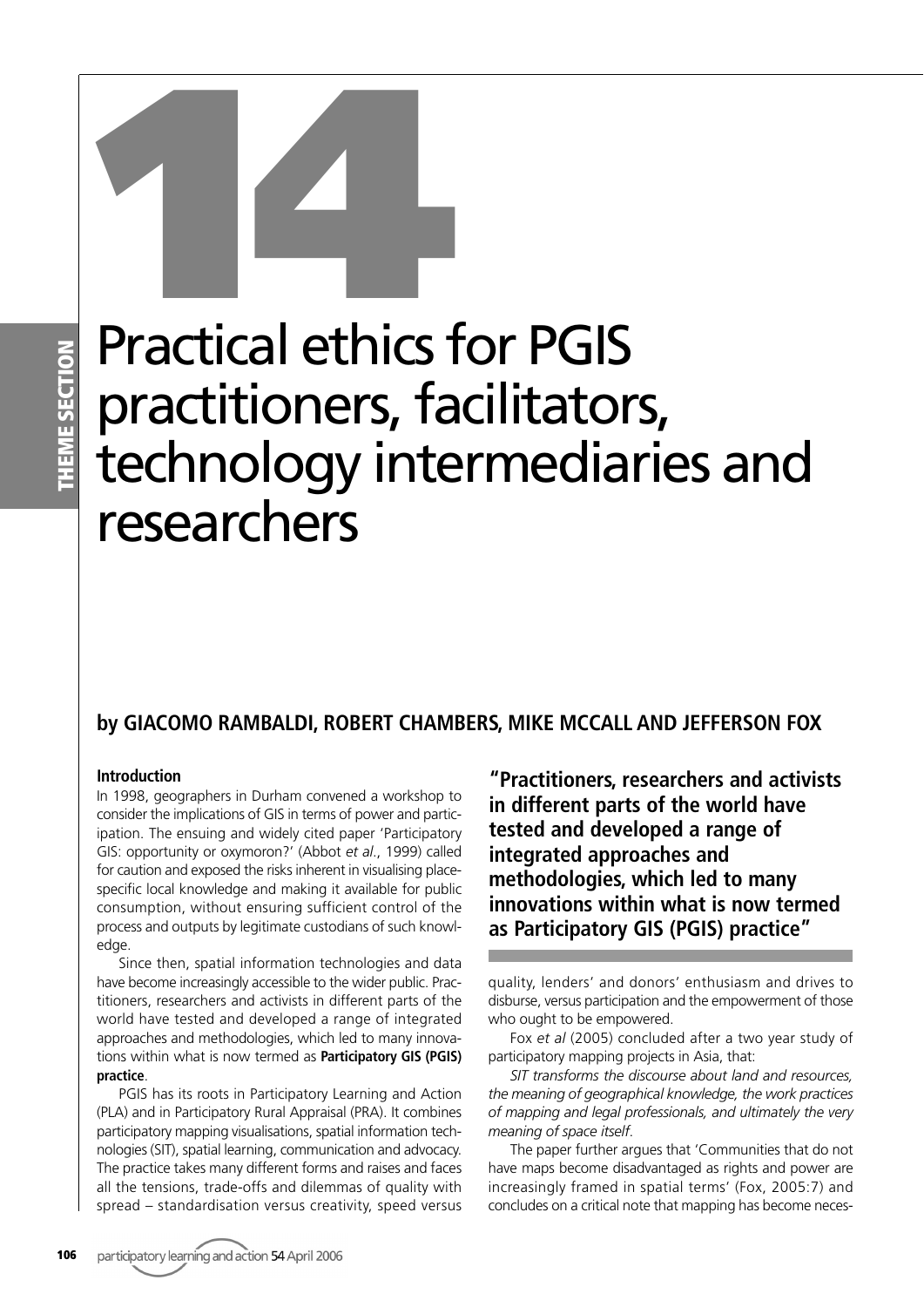## **HEME SECTION THEME SECTION**

# Practical ethics for PGIS practitioners, facilitators, technology intermediaries and researchers **14**<br>Practical ethics 1

### **by GIACOMO RAMBALDI, ROBERT CHAMBERS, MIKE MCCALL AND JEFFERSON FOX**

#### **Introduction**

In 1998, geographers in Durham convened a workshop to consider the implications of GIS in terms of power and participation. The ensuing and widely cited paper 'Participatory GIS: opportunity or oxymoron?' (Abbot *et al*., 1999) called for caution and exposed the risks inherent in visualising placespecific local knowledge and making it available for public consumption, without ensuring sufficient control of the process and outputs by legitimate custodians of such knowledge.

Since then, spatial information technologies and data have become increasingly accessible to the wider public. Practitioners, researchers and activists in different parts of the world have tested and developed a range of integrated approaches and methodologies, which led to many innovations within what is now termed as **Participatory GIS (PGIS) practice**.

PGIS has its roots in Participatory Learning and Action (PLA) and in Participatory Rural Appraisal (PRA). It combines participatory mapping visualisations, spatial information technologies (SIT), spatial learning, communication and advocacy. The practice takes many different forms and raises and faces all the tensions, trade-offs and dilemmas of quality with spread – standardisation versus creativity, speed versus

**"Practitioners, researchers and activists in different parts of the world have tested and developed a range of integrated approaches and methodologies, which led to many innovations within what is now termed as Participatory GIS (PGIS) practice"**

quality, lenders' and donors' enthusiasm and drives to disburse, versus participation and the empowerment of those who ought to be empowered.

Fox *et al* (2005) concluded after a two year study of participatory mapping projects in Asia, that:

*SIT transforms the discourse about land and resources, the meaning of geographical knowledge, the work practices of mapping and legal professionals, and ultimately the very meaning of space itself*.

The paper further argues that 'Communities that do not have maps become disadvantaged as rights and power are increasingly framed in spatial terms' (Fox, 2005:7) and concludes on a critical note that mapping has become neces-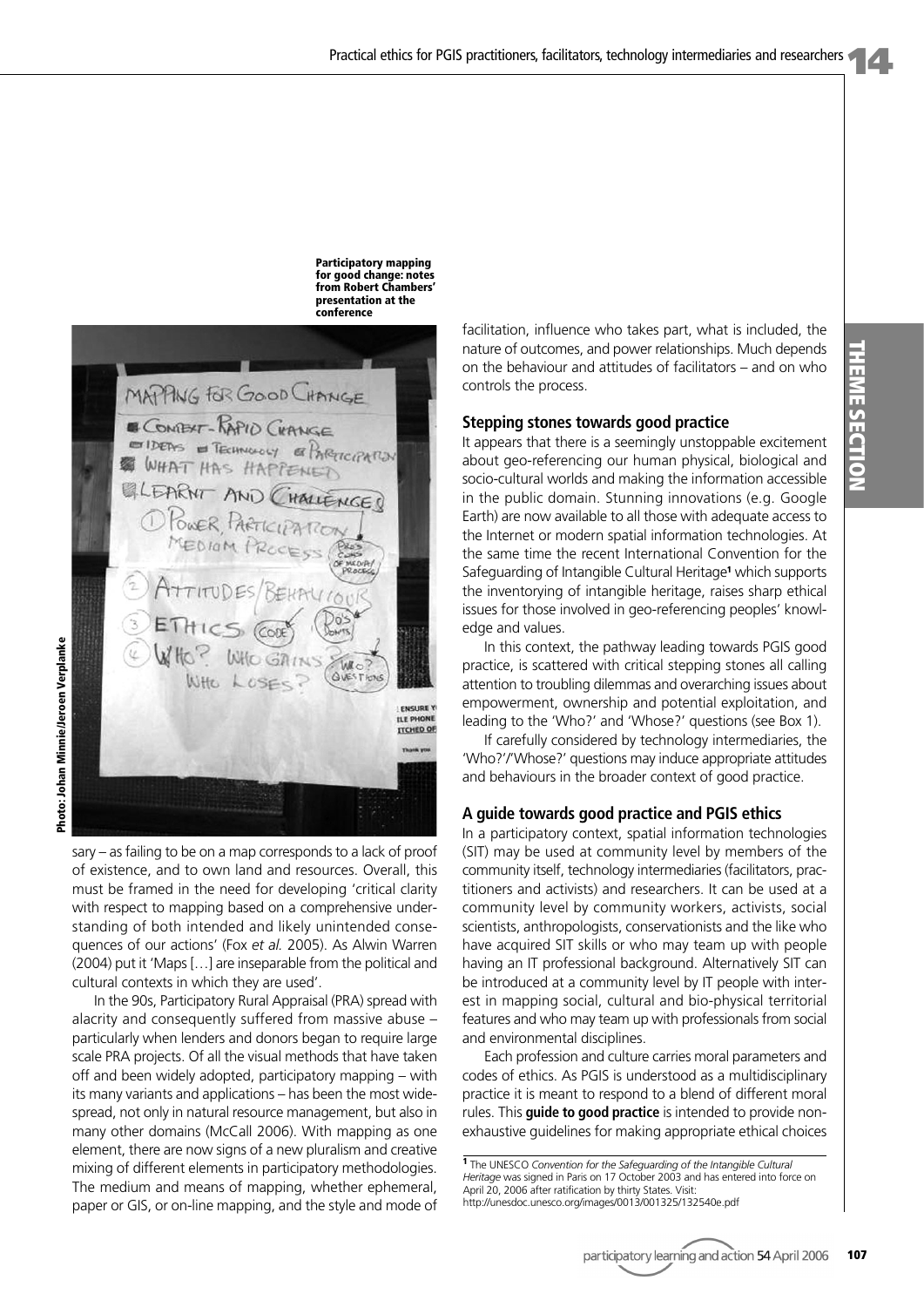**Participatory mapping for good change: notes from Robert Chambers' presentation at the conference**



sary – as failing to be on a map corresponds to a lack of proof of existence, and to own land and resources. Overall, this must be framed in the need for developing 'critical clarity with respect to mapping based on a comprehensive understanding of both intended and likely unintended consequences of our actions' (Fox *et al.* 2005). As Alwin Warren (2004) put it 'Maps […] are inseparable from the political and cultural contexts in which they are used'.

In the 90s, Participatory Rural Appraisal (PRA) spread with alacrity and consequently suffered from massive abuse – particularly when lenders and donors began to require large scale PRA projects. Of all the visual methods that have taken off and been widely adopted, participatory mapping – with its many variants and applications – has been the most widespread, not only in natural resource management, but also in many other domains (McCall 2006). With mapping as one element, there are now signs of a new pluralism and creative mixing of different elements in participatory methodologies. The medium and means of mapping, whether ephemeral, paper or GIS, or on-line mapping, and the style and mode of

facilitation, influence who takes part, what is included, the nature of outcomes, and power relationships. Much depends on the behaviour and attitudes of facilitators – and on who controls the process.

#### **Stepping stones towards good practice**

It appears that there is a seemingly unstoppable excitement about geo-referencing our human physical, biological and socio-cultural worlds and making the information accessible in the public domain. Stunning innovations (e.g. Google Earth) are now available to all those with adequate access to the Internet or modern spatial information technologies. At the same time the recent International Convention for the Safeguarding of Intangible Cultural Heritage**<sup>1</sup>** which supports the inventorying of intangible heritage, raises sharp ethical issues for those involved in geo-referencing peoples' knowledge and values.

In this context, the pathway leading towards PGIS good practice, is scattered with critical stepping stones all calling attention to troubling dilemmas and overarching issues about empowerment, ownership and potential exploitation, and leading to the 'Who?' and 'Whose?' questions (see Box 1).

If carefully considered by technology intermediaries, the 'Who?'/'Whose?' questions may induce appropriate attitudes and behaviours in the broader context of good practice.

#### **A guide towards good practice and PGIS ethics**

In a participatory context, spatial information technologies (SIT) may be used at community level by members of the community itself, technology intermediaries (facilitators, practitioners and activists) and researchers. It can be used at a community level by community workers, activists, social scientists, anthropologists, conservationists and the like who have acquired SIT skills or who may team up with people having an IT professional background. Alternatively SIT can be introduced at a community level by IT people with interest in mapping social, cultural and bio-physical territorial features and who may team up with professionals from social and environmental disciplines.

Each profession and culture carries moral parameters and codes of ethics. As PGIS is understood as a multidisciplinary practice it is meant to respond to a blend of different moral rules. This **guide to good practice** is intended to provide nonexhaustive guidelines for making appropriate ethical choices

**<sup>1</sup>** The UNESCO *Convention for the Safeguarding of the Intangible Cultural Heritage* was signed in Paris on 17 October 2003 and has entered into force on April 20, 2006 after ratification by thirty States. Visit: http://unesdoc.unesco.org/images/0013/001325/132540e.pdf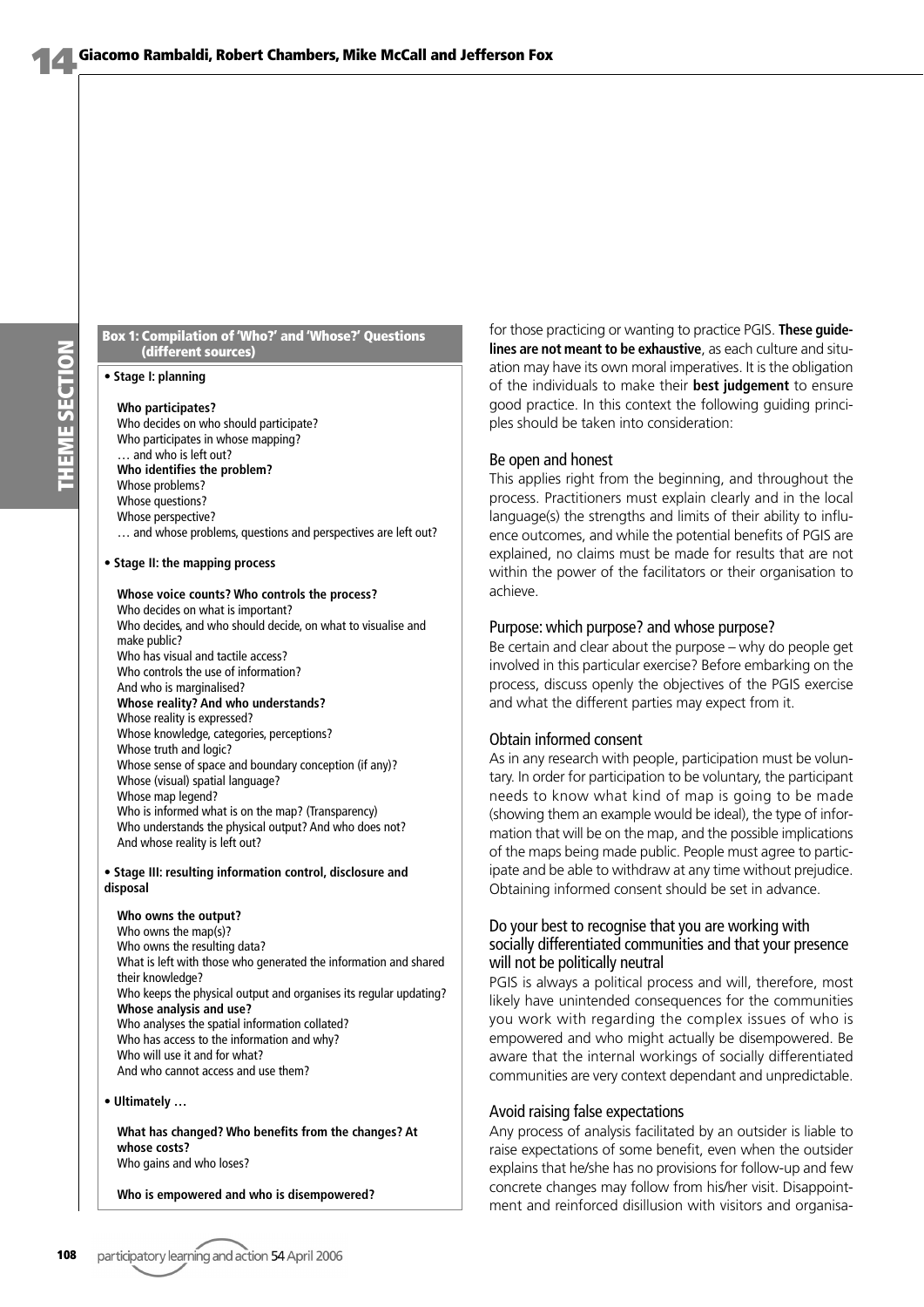THEME SECTION **THEME SECTION**

#### **Box 1: Compilation of 'Who?' and 'Whose?' Questions (different sources)**

#### **• Stage I: planning**

#### **Who participates?**

Who decides on who should participate? Who participates in whose mapping? … and who is left out? **Who identifies the problem?**

Whose problems? Whose questions? Whose perspective? … and whose problems, questions and perspectives are left out?

#### **• Stage II: the mapping process**

#### **Whose voice counts? Who controls the process?** Who decides on what is important? Who decides, and who should decide, on what to visualise and make public? Who has visual and tactile access? Who controls the use of information? And who is marginalised? **Whose reality? And who understands?** Whose reality is expressed? Whose knowledge, categories, perceptions? Whose truth and logic? Whose sense of space and boundary conception (if any)? Whose (visual) spatial language? Whose map legend? Who is informed what is on the map? (Transparency) Who understands the physical output? And who does not?

And whose reality is left out? **• Stage III: resulting information control, disclosure and**

#### **disposal**

**Who owns the output?** Who owns the map(s)? Who owns the resulting data? What is left with those who generated the information and shared their knowledge? Who keeps the physical output and organises its regular updating? **Whose analysis and use?** Who analyses the spatial information collated? Who has access to the information and why? Who will use it and for what? And who cannot access and use them?

**• Ultimately …**

**What has changed? Who benefits from the changes? At whose costs?** Who gains and who loses?

**Who is empowered and who is disempowered?**

for those practicing or wanting to practice PGIS. **These guidelines are not meant to be exhaustive**, as each culture and situation may have its own moral imperatives. It is the obligation of the individuals to make their **best judgement** to ensure good practice. In this context the following guiding principles should be taken into consideration:

#### Be open and honest

This applies right from the beginning, and throughout the process. Practitioners must explain clearly and in the local language(s) the strengths and limits of their ability to influence outcomes, and while the potential benefits of PGIS are explained, no claims must be made for results that are not within the power of the facilitators or their organisation to achieve.

#### Purpose: which purpose? and whose purpose?

Be certain and clear about the purpose – why do people get involved in this particular exercise? Before embarking on the process, discuss openly the objectives of the PGIS exercise and what the different parties may expect from it.

#### Obtain informed consent

As in any research with people, participation must be voluntary. In order for participation to be voluntary, the participant needs to know what kind of map is going to be made (showing them an example would be ideal), the type of information that will be on the map, and the possible implications of the maps being made public. People must agree to participate and be able to withdraw at any time without prejudice. Obtaining informed consent should be set in advance.

#### Do your best to recognise that you are working with socially differentiated communities and that your presence will not be politically neutral

PGIS is always a political process and will, therefore, most likely have unintended consequences for the communities you work with regarding the complex issues of who is empowered and who might actually be disempowered. Be aware that the internal workings of socially differentiated communities are very context dependant and unpredictable.

#### Avoid raising false expectations

Any process of analysis facilitated by an outsider is liable to raise expectations of some benefit, even when the outsider explains that he/she has no provisions for follow-up and few concrete changes may follow from his/her visit. Disappointment and reinforced disillusion with visitors and organisa-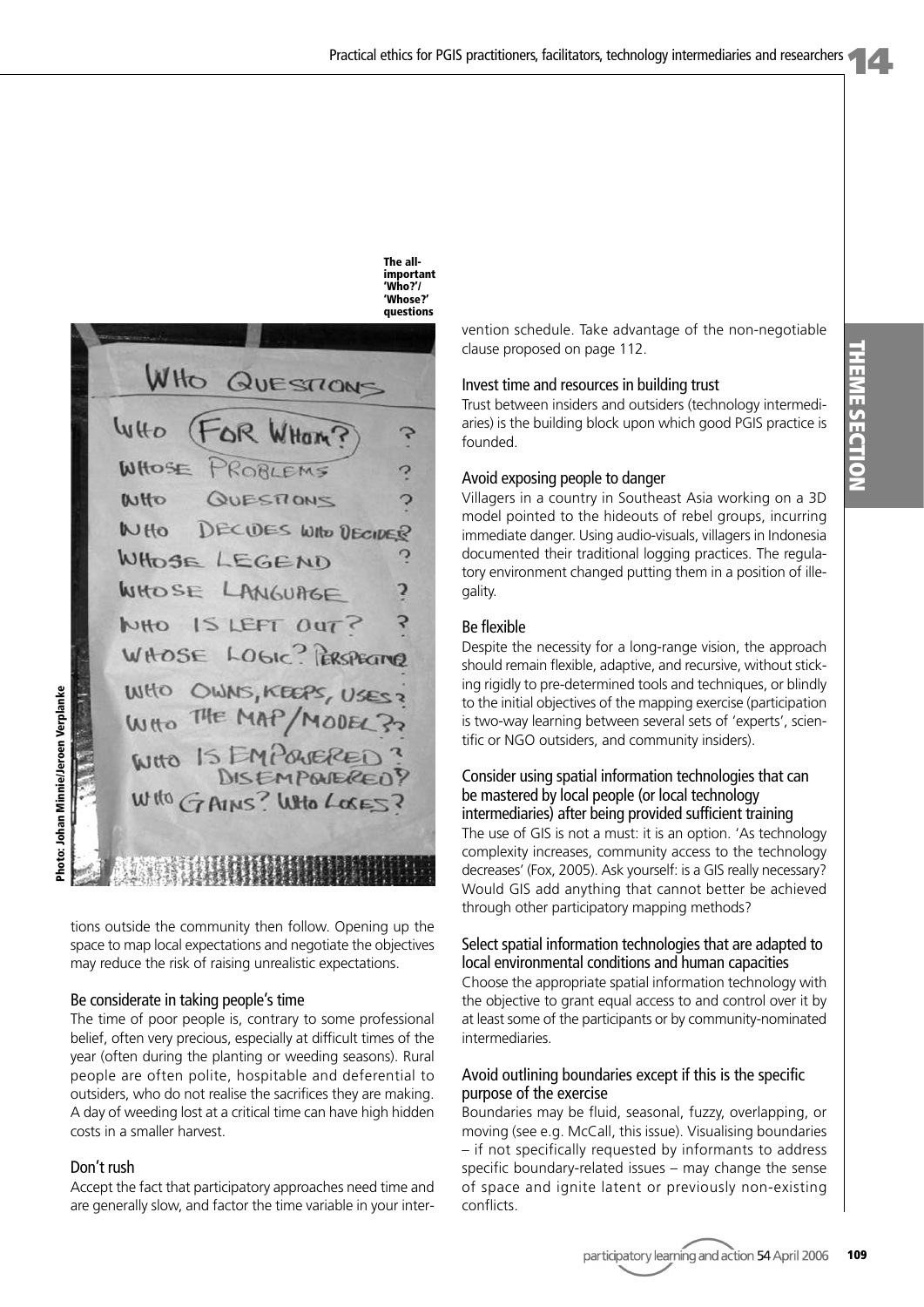

tions outside the community then follow. Opening up the space to map local expectations and negotiate the objectives may reduce the risk of raising unrealistic expectations.

#### Be considerate in taking people's time

The time of poor people is, contrary to some professional belief, often very precious, especially at difficult times of the year (often during the planting or weeding seasons). Rural people are often polite, hospitable and deferential to outsiders, who do not realise the sacrifices they are making. A day of weeding lost at a critical time can have high hidden costs in a smaller harvest.

#### Don't rush

Accept the fact that participatory approaches need time and are generally slow, and factor the time variable in your intervention schedule. Take advantage of the non-negotiable clause proposed on page 112.

#### Invest time and resources in building trust

Trust between insiders and outsiders (technology intermediaries) is the building block upon which good PGIS practice is founded.

#### Avoid exposing people to danger

Villagers in a country in Southeast Asia working on a 3D model pointed to the hideouts of rebel groups, incurring immediate danger. Using audio-visuals, villagers in Indonesia documented their traditional logging practices. The regulatory environment changed putting them in a position of illegality.

#### Be flexible

**The all-**

Despite the necessity for a long-range vision, the approach should remain flexible, adaptive, and recursive, without sticking rigidly to pre-determined tools and techniques, or blindly to the initial objectives of the mapping exercise (participation is two-way learning between several sets of 'experts', scientific or NGO outsiders, and community insiders).

#### Consider using spatial information technologies that can be mastered by local people (or local technology intermediaries) after being provided sufficient training

The use of GIS is not a must: it is an option. 'As technology complexity increases, community access to the technology decreases' (Fox, 2005). Ask yourself: is a GIS really necessary? Would GIS add anything that cannot better be achieved through other participatory mapping methods?

#### Select spatial information technologies that are adapted to local environmental conditions and human capacities

Choose the appropriate spatial information technology with the objective to grant equal access to and control over it by at least some of the participants or by community-nominated intermediaries.

#### Avoid outlining boundaries except if this is the specific purpose of the exercise

Boundaries may be fluid, seasonal, fuzzy, overlapping, or moving (see e.g. McCall, this issue). Visualising boundaries – if not specifically requested by informants to address specific boundary-related issues – may change the sense of space and ignite latent or previously non-existing conflicts.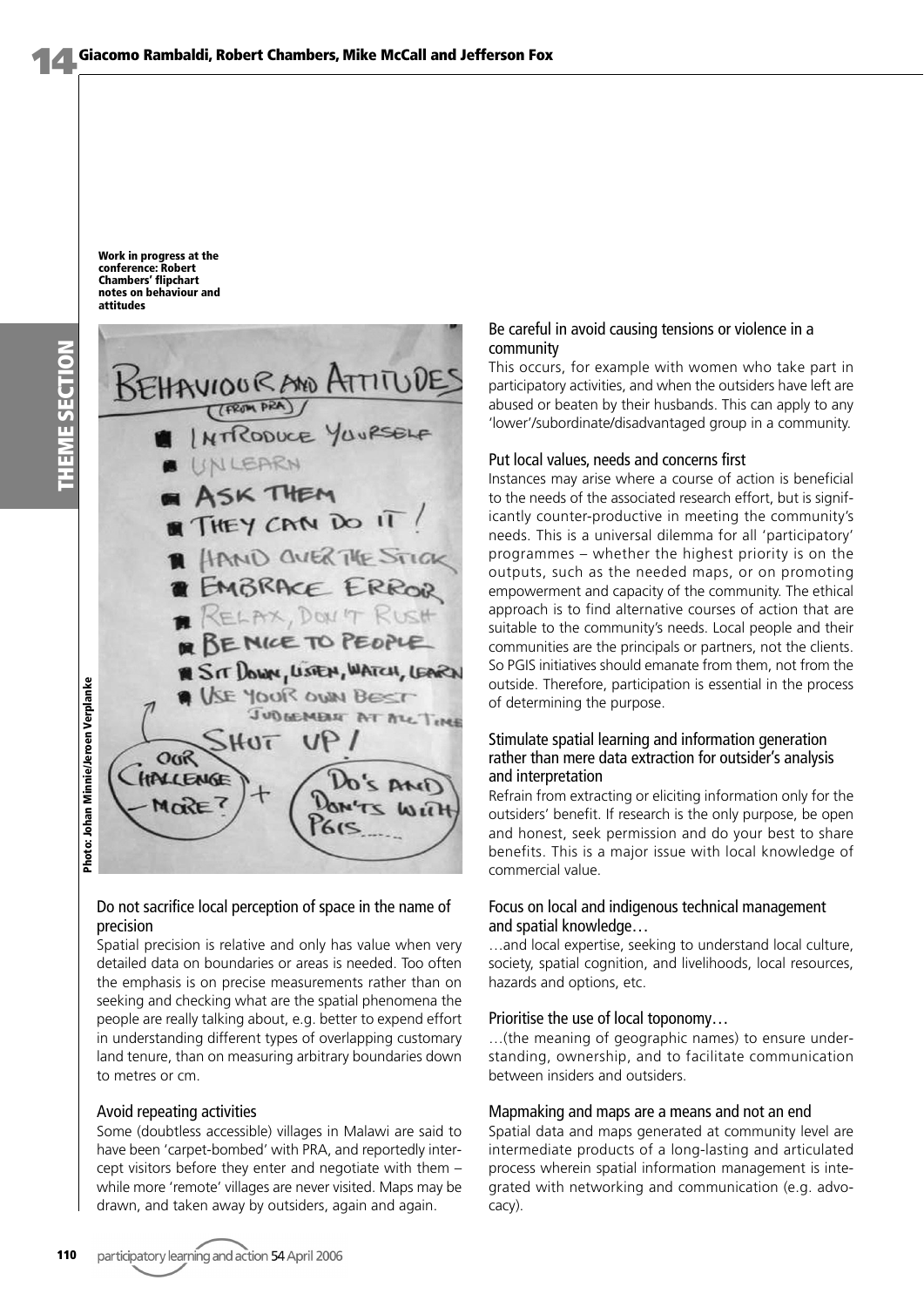**Work in progress at the conference: Robert Chambers' flipchart notes on behaviour and attitudes**



#### Do not sacrifice local perception of space in the name of precision

Spatial precision is relative and only has value when very detailed data on boundaries or areas is needed. Too often the emphasis is on precise measurements rather than on seeking and checking what are the spatial phenomena the people are really talking about, e.g. better to expend effort in understanding different types of overlapping customary land tenure, than on measuring arbitrary boundaries down to metres or cm.

#### Avoid repeating activities

Some (doubtless accessible) villages in Malawi are said to have been 'carpet-bombed' with PRA, and reportedly intercept visitors before they enter and negotiate with them – while more 'remote' villages are never visited. Maps may be drawn, and taken away by outsiders, again and again.

#### Be careful in avoid causing tensions or violence in a community

This occurs, for example with women who take part in participatory activities, and when the outsiders have left are abused or beaten by their husbands. This can apply to any 'lower'/subordinate/disadvantaged group in a community.

#### Put local values, needs and concerns first

Instances may arise where a course of action is beneficial to the needs of the associated research effort, but is significantly counter-productive in meeting the community's needs. This is a universal dilemma for all 'participatory' programmes – whether the highest priority is on the outputs, such as the needed maps, or on promoting empowerment and capacity of the community. The ethical approach is to find alternative courses of action that are suitable to the community's needs. Local people and their communities are the principals or partners, not the clients. So PGIS initiatives should emanate from them, not from the outside. Therefore, participation is essential in the process of determining the purpose.

#### Stimulate spatial learning and information generation rather than mere data extraction for outsider's analysis and interpretation

Refrain from extracting or eliciting information only for the outsiders' benefit. If research is the only purpose, be open and honest, seek permission and do your best to share benefits. This is a major issue with local knowledge of commercial value.

#### Focus on local and indigenous technical management and spatial knowledge…

…and local expertise, seeking to understand local culture, society, spatial cognition, and livelihoods, local resources, hazards and options, etc.

#### Prioritise the use of local toponomy…

…(the meaning of geographic names) to ensure understanding, ownership, and to facilitate communication between insiders and outsiders.

#### Mapmaking and maps are a means and not an end

Spatial data and maps generated at community level are intermediate products of a long-lasting and articulated process wherein spatial information management is integrated with networking and communication (e.g. advocacy).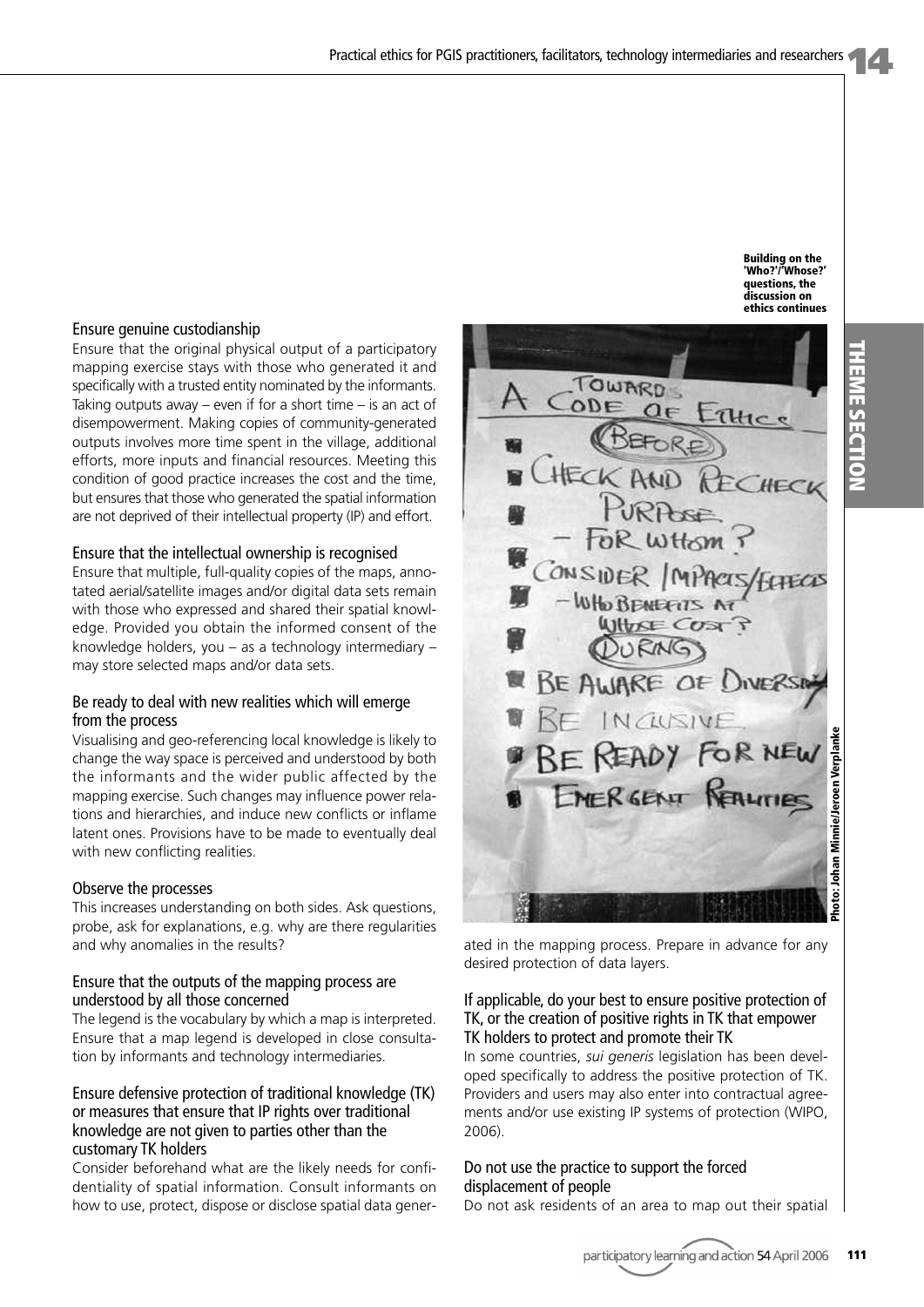#### Ensure genuine custodianship

Ensure that the original physical output of a participatory mapping exercise stays with those who generated it and specifically with a trusted entity nominated by the informants. Taking outputs away – even if for a short time  $-$  is an act of disempowerment. Making copies of community-generated outputs involves more time spent in the village, additional efforts, more inputs and financial resources. Meeting this condition of good practice increases the cost and the time, but ensures that those who generated the spatial information are not deprived of their intellectual property (IP) and effort.

#### Ensure that the intellectual ownership is recognised

Ensure that multiple, full-quality copies of the maps, annotated aerial/satellite images and/or digital data sets remain with those who expressed and shared their spatial knowledge. Provided you obtain the informed consent of the knowledge holders, you – as a technology intermediary – may store selected maps and/or data sets.

#### Be ready to deal with new realities which will emerge from the process

Visualising and geo-referencing local knowledge is likely to change the way space is perceived and understood by both the informants and the wider public affected by the mapping exercise. Such changes may influence power relations and hierarchies, and induce new conflicts or inflame latent ones. Provisions have to be made to eventually deal with new conflicting realities.

#### Observe the processes

This increases understanding on both sides. Ask questions, probe, ask for explanations, e.g. why are there regularities and why anomalies in the results?

#### Ensure that the outputs of the mapping process are understood by all those concerned

The legend is the vocabulary by which a map is interpreted. Ensure that a map legend is developed in close consultation by informants and technology intermediaries.

#### Ensure defensive protection of traditional knowledge (TK) or measures that ensure that IP rights over traditional knowledge are not given to parties other than the customary TK holders

Consider beforehand what are the likely needs for confidentiality of spatial information. Consult informants on how to use, protect, dispose or disclose spatial data gener-



ated in the mapping process. Prepare in advance for any desired protection of data layers.

#### If applicable, do your best to ensure positive protection of TK, or the creation of positive rights in TK that empower TK holders to protect and promote their TK

In some countries, *sui generis* legislation has been developed specifically to address the positive protection of TK. Providers and users may also enter into contractual agreements and/or use existing IP systems of protection (WIPO, 2006).

#### Do not use the practice to support the forced displacement of people

Do not ask residents of an area to map out their spatial

**Building on the 'Who?'/'Whose?' questions, the discussion on ethics continues**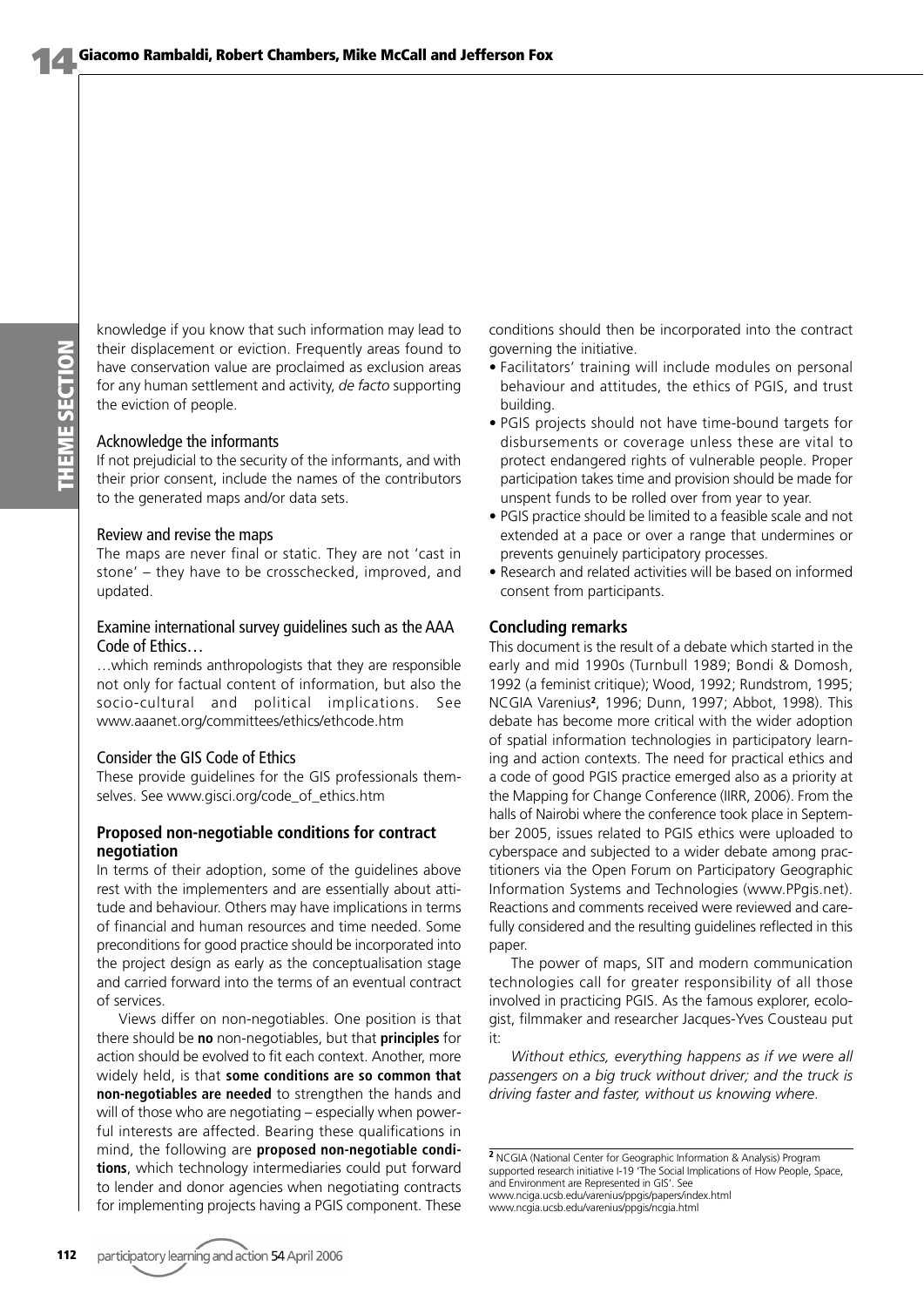THEME SECTION **THEME SECTION** knowledge if you know that such information may lead to their displacement or eviction. Frequently areas found to have conservation value are proclaimed as exclusion areas for any human settlement and activity, *de facto* supporting the eviction of people.

#### Acknowledge the informants

If not prejudicial to the security of the informants, and with their prior consent, include the names of the contributors to the generated maps and/or data sets.

#### Review and revise the maps

The maps are never final or static. They are not 'cast in stone' – they have to be crosschecked, improved, and updated.

#### Examine international survey guidelines such as the AAA Code of Ethics…

…which reminds anthropologists that they are responsible not only for factual content of information, but also the socio-cultural and political implications. See www.aaanet.org/committees/ethics/ethcode.htm

#### Consider the GIS Code of Ethics

These provide guidelines for the GIS professionals themselves. See www.gisci.org/code\_of\_ethics.htm

#### **Proposed non-negotiable conditions for contract negotiation**

In terms of their adoption, some of the guidelines above rest with the implementers and are essentially about attitude and behaviour. Others may have implications in terms of financial and human resources and time needed. Some preconditions for good practice should be incorporated into the project design as early as the conceptualisation stage and carried forward into the terms of an eventual contract of services.

Views differ on non-negotiables. One position is that there should be **no** non-negotiables, but that **principles** for action should be evolved to fit each context. Another, more widely held, is that **some conditions are so common that non-negotiables are needed** to strengthen the hands and will of those who are negotiating – especially when powerful interests are affected. Bearing these qualifications in mind, the following are **proposed non-negotiable conditions**, which technology intermediaries could put forward to lender and donor agencies when negotiating contracts for implementing projects having a PGIS component. These

conditions should then be incorporated into the contract governing the initiative.

- Facilitators' training will include modules on personal behaviour and attitudes, the ethics of PGIS, and trust building.
- PGIS projects should not have time-bound targets for disbursements or coverage unless these are vital to protect endangered rights of vulnerable people. Proper participation takes time and provision should be made for unspent funds to be rolled over from year to year.
- PGIS practice should be limited to a feasible scale and not extended at a pace or over a range that undermines or prevents genuinely participatory processes.
- Research and related activities will be based on informed consent from participants.

#### **Concluding remarks**

This document is the result of a debate which started in the early and mid 1990s (Turnbull 1989; Bondi & Domosh, 1992 (a feminist critique); Wood, 1992; Rundstrom, 1995; NCGIA Varenius**2**, 1996; Dunn, 1997; Abbot, 1998). This debate has become more critical with the wider adoption of spatial information technologies in participatory learning and action contexts. The need for practical ethics and a code of good PGIS practice emerged also as a priority at the Mapping for Change Conference (IIRR, 2006). From the halls of Nairobi where the conference took place in September 2005, issues related to PGIS ethics were uploaded to cyberspace and subjected to a wider debate among practitioners via the Open Forum on Participatory Geographic Information Systems and Technologies (www.PPgis.net). Reactions and comments received were reviewed and carefully considered and the resulting guidelines reflected in this paper.

The power of maps, SIT and modern communication technologies call for greater responsibility of all those involved in practicing PGIS. As the famous explorer, ecologist, filmmaker and researcher Jacques-Yves Cousteau put it:

*Without ethics, everything happens as if we were all passengers on a big truck without driver; and the truck is driving faster and faster, without us knowing where*.

**<sup>2</sup>** NCGIA (National Center for Geographic Information & Analysis) Program supported research initiative I-19 'The Social Implications of How People, Space, and Environment are Represented in GIS'. See www.nciga.ucsb.edu/varenius/ppgis/papers/index.html www.ncgia.ucsb.edu/varenius/ppgis/ncgia.html